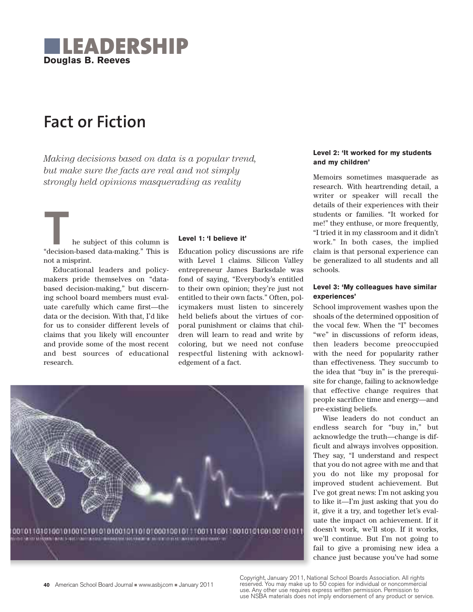

# **Fact or Fiction**

*Making decisions based on data is a popular trend, but make sure the facts are real and not simply strongly held opinions masquerading as reality*

The subject of this column is "decision-based data-making." This is not a misprint.

Educational leaders and policymakers pride themselves on "databased decision-making," but discerning school board members must evaluate carefully which came first—the data or the decision. With that, I'd like for us to consider different levels of claims that you likely will encounter and provide some of the most recent and best sources of educational research.

#### **Level 1: 'I believe it'**

Education policy discussions are rife with Level 1 claims. Silicon Valley entrepreneur James Barksdale was fond of saying, "Everybody's entitled to their own opinion; they're just not entitled to their own facts." Often, policymakers must listen to sincerely held beliefs about the virtues of corporal punishment or claims that children will learn to read and write by coloring, but we need not confuse respectful listening with acknowledgement of a fact.



#### **Level 2: 'It worked for my students and my children'**

Memoirs sometimes masquerade as research. With heartrending detail, a writer or speaker will recall the details of their experiences with their students or families. "It worked for me!" they enthuse, or more frequently, "I tried it in my classroom and it didn't work." In both cases, the implied claim is that personal experience can be generalized to all students and all schools.

#### **Level 3: 'My colleagues have similar experiences'**

School improvement washes upon the shoals of the determined opposition of the vocal few. When the "I" becomes "we" in discussions of reform ideas, then leaders become preoccupied with the need for popularity rather than effectiveness. They succumb to the idea that "buy in" is the prerequisite for change, failing to acknowledge that effective change requires that people sacrifice time and energy—and pre-existing beliefs.

Wise leaders do not conduct an endless search for "buy in," but acknowledge the truth—change is difficult and always involves opposition. They say, "I understand and respect that you do not agree with me and that you do not like my proposal for improved student achievement. But I've got great news: I'm not asking you to like it—I'm just asking that you do it, give it a try, and together let's evaluate the impact on achievement. If it doesn't work, we'll stop. If it works, we'll continue. But I'm not going to fail to give a promising new idea a chance just because you've had some

Copyright, January 2011, National School Boards Association. All rights reserved. You may make up to 50 copies for individual or noncommercial use. Any other use requires express written permission. Permission to use NSBA materials does not imply endorsement of any product or service.